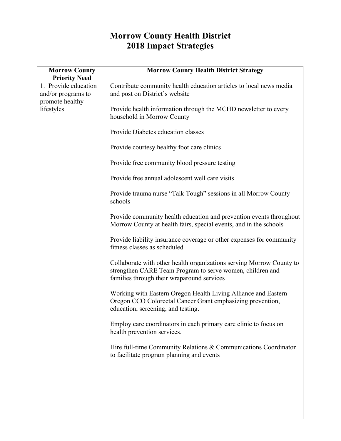## **Morrow County Health District 2018 Impact Strategies**

| <b>Morrow County</b><br><b>Priority Need</b>                                | <b>Morrow County Health District Strategy</b>                                                                                                                                   |
|-----------------------------------------------------------------------------|---------------------------------------------------------------------------------------------------------------------------------------------------------------------------------|
| 1. Provide education<br>and/or programs to<br>promote healthy<br>lifestyles | Contribute community health education articles to local news media<br>and post on District's website                                                                            |
|                                                                             | Provide health information through the MCHD newsletter to every<br>household in Morrow County                                                                                   |
|                                                                             | Provide Diabetes education classes                                                                                                                                              |
|                                                                             | Provide courtesy healthy foot care clinics                                                                                                                                      |
|                                                                             | Provide free community blood pressure testing                                                                                                                                   |
|                                                                             | Provide free annual adolescent well care visits                                                                                                                                 |
|                                                                             | Provide trauma nurse "Talk Tough" sessions in all Morrow County<br>schools                                                                                                      |
|                                                                             | Provide community health education and prevention events throughout<br>Morrow County at health fairs, special events, and in the schools                                        |
|                                                                             | Provide liability insurance coverage or other expenses for community<br>fitness classes as scheduled                                                                            |
|                                                                             | Collaborate with other health organizations serving Morrow County to<br>strengthen CARE Team Program to serve women, children and<br>families through their wraparound services |
|                                                                             | Working with Eastern Oregon Health Living Alliance and Eastern<br>Oregon CCO Colorectal Cancer Grant emphasizing prevention,<br>education, screening, and testing.              |
|                                                                             | Employ care coordinators in each primary care clinic to focus on<br>health prevention services.                                                                                 |
|                                                                             | Hire full-time Community Relations & Communications Coordinator<br>to facilitate program planning and events                                                                    |
|                                                                             |                                                                                                                                                                                 |
|                                                                             |                                                                                                                                                                                 |
|                                                                             |                                                                                                                                                                                 |
|                                                                             |                                                                                                                                                                                 |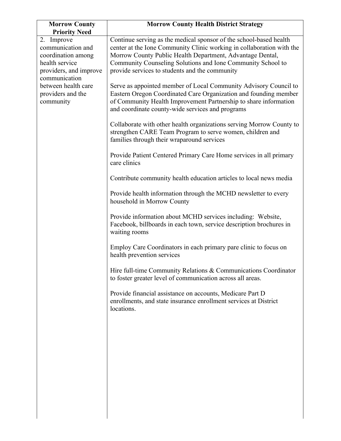| <b>Morrow County</b><br><b>Priority Need</b>                                                                                                                                | <b>Morrow County Health District Strategy</b>                                                                                                                                                                                                                                                                             |
|-----------------------------------------------------------------------------------------------------------------------------------------------------------------------------|---------------------------------------------------------------------------------------------------------------------------------------------------------------------------------------------------------------------------------------------------------------------------------------------------------------------------|
| 2. Improve<br>communication and<br>coordination among<br>health service<br>providers, and improve<br>communication<br>between health care<br>providers and the<br>community | Continue serving as the medical sponsor of the school-based health<br>center at the Ione Community Clinic working in collaboration with the<br>Morrow County Public Health Department, Advantage Dental,<br>Community Counseling Solutions and Ione Community School to<br>provide services to students and the community |
|                                                                                                                                                                             | Serve as appointed member of Local Community Advisory Council to<br>Eastern Oregon Coordinated Care Organization and founding member<br>of Community Health Improvement Partnership to share information<br>and coordinate county-wide services and programs                                                              |
|                                                                                                                                                                             | Collaborate with other health organizations serving Morrow County to<br>strengthen CARE Team Program to serve women, children and<br>families through their wraparound services                                                                                                                                           |
|                                                                                                                                                                             | Provide Patient Centered Primary Care Home services in all primary<br>care clinics                                                                                                                                                                                                                                        |
|                                                                                                                                                                             | Contribute community health education articles to local news media                                                                                                                                                                                                                                                        |
|                                                                                                                                                                             | Provide health information through the MCHD newsletter to every<br>household in Morrow County                                                                                                                                                                                                                             |
|                                                                                                                                                                             | Provide information about MCHD services including: Website,<br>Facebook, billboards in each town, service description brochures in<br>waiting rooms                                                                                                                                                                       |
|                                                                                                                                                                             | Employ Care Coordinators in each primary pare clinic to focus on<br>health prevention services                                                                                                                                                                                                                            |
|                                                                                                                                                                             | Hire full-time Community Relations & Communications Coordinator<br>to foster greater level of communication across all areas.                                                                                                                                                                                             |
|                                                                                                                                                                             | Provide financial assistance on accounts, Medicare Part D<br>enrollments, and state insurance enrollment services at District<br>locations.                                                                                                                                                                               |
|                                                                                                                                                                             |                                                                                                                                                                                                                                                                                                                           |
|                                                                                                                                                                             |                                                                                                                                                                                                                                                                                                                           |
|                                                                                                                                                                             |                                                                                                                                                                                                                                                                                                                           |
|                                                                                                                                                                             |                                                                                                                                                                                                                                                                                                                           |
|                                                                                                                                                                             |                                                                                                                                                                                                                                                                                                                           |